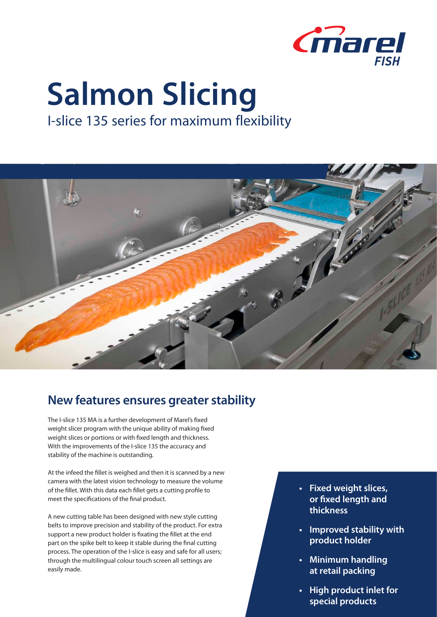

## **Salmon Slicing**

I-slice 135 series for maximum flexibility



## **New features ensures greater stability**

The I-slice 135 MA is a further development of Marel's fixed weight slicer program with the unique ability of making fixed weight slices or portions or with fixed length and thickness. With the improvements of the I-slice 135 the accuracy and stability of the machine is outstanding.

At the infeed the fillet is weighed and then it is scanned by a new camera with the latest vision technology to measure the volume of the fillet. With this data each fillet gets a cutting profile to meet the specifications of the final product.

A new cutting table has been designed with new style cutting belts to improve precision and stability of the product. For extra support a new product holder is fixating the fillet at the end part on the spike belt to keep it stable during the final cutting process. The operation of the I-slice is easy and safe for all users; through the multilingual colour touch screen all settings are easily made.

- **• Fixed weight slices, or fixed length and thickness**
- **• Improved stability with product holder**
- **• Minimum handling at retail packing**
- **• High product inlet for special products**